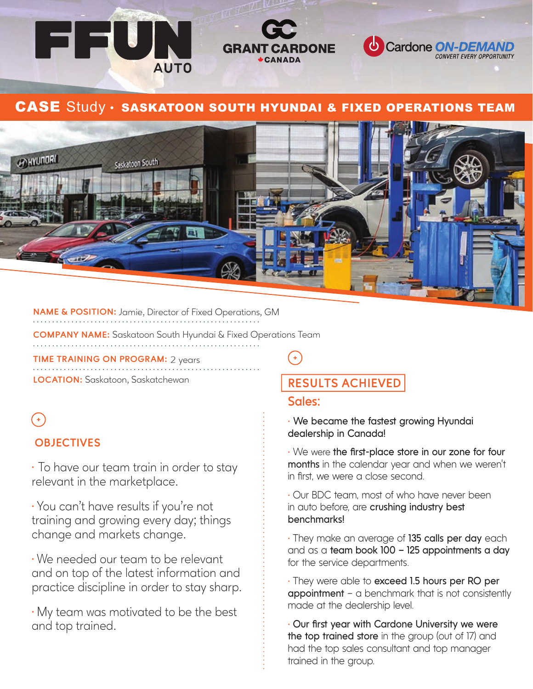

## CASE Study · SASKATOON SOUTH HYUNDAI & FIXED OPERATIONS TEAM



**NAME & POSITION:** Jamie, Director of Fixed Operations, GM

**COMPANY NAME:** Saskatoon South Hyundai & Fixed Operations Team 

**TIME TRAINING ON PROGRAM:** 2 years

**LOCATION:** Saskatoon, Saskatchewan

# $\ddot{\phantom{1}}$

## **OBJECTIVES**

⁌ To have our team train in order to stay relevant in the marketplace.

⁌ You can't have results if you're not training and growing every day; things change and markets change.

⁌ We needed our team to be relevant and on top of the latest information and practice discipline in order to stay sharp.

⁌ My team was motivated to be the best and top trained.

## **RESULTS ACHIEVED**

#### **Sales:**

• We became the fastest growing Hyundai **dealership in Canada!** 

• We were the first-place store in our zone for four **months** in the calendar year and when we weren't in first, we were a close second.

• Our BDC team, most of who have never been in auto before, are **crushing industry best benchmarks!**

• They make an average of **135 calls per day** each and as a **team book 100 – 125 appointments a day** for the service departments.

• They were able to **exceed 1.5 hours per RO per appointment** – a benchmark that is not consistently made at the dealership level.

• Our first year with Cardone University we were the top trained store in the group (out of 17) and had the top sales consultant and top manager trained in the group.